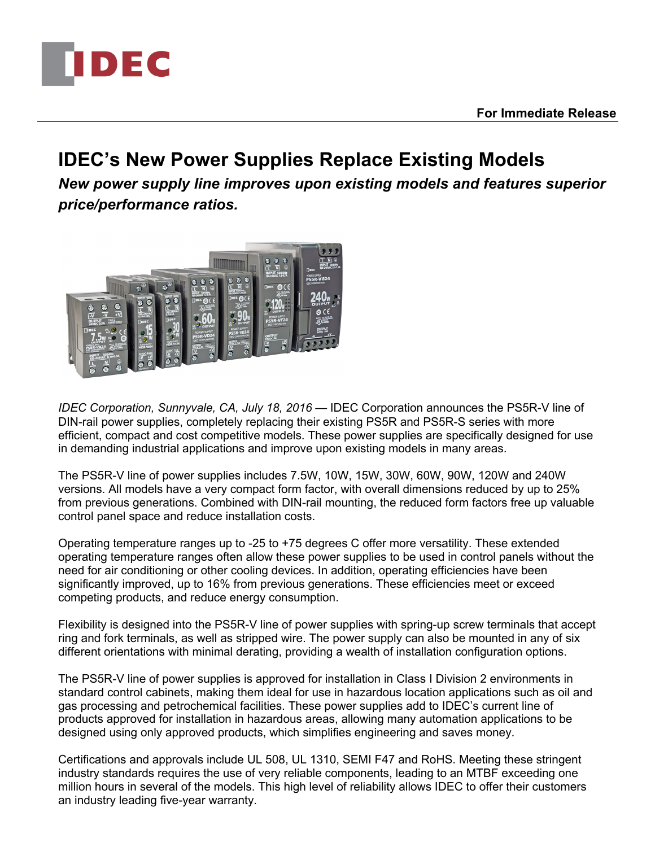

## **IDEC's New Power Supplies Replace Existing Models**

*New power supply line improves upon existing models and features superior price/performance ratios.*



*IDEC Corporation, Sunnyvale, CA, July 18, 2016* — IDEC Corporation announces the PS5R-V line of DIN-rail power supplies, completely replacing their existing PS5R and PS5R-S series with more efficient, compact and cost competitive models. These power supplies are specifically designed for use in demanding industrial applications and improve upon existing models in many areas.

The PS5R-V line of power supplies includes 7.5W, 10W, 15W, 30W, 60W, 90W, 120W and 240W versions. All models have a very compact form factor, with overall dimensions reduced by up to 25% from previous generations. Combined with DIN-rail mounting, the reduced form factors free up valuable control panel space and reduce installation costs.

Operating temperature ranges up to -25 to +75 degrees C offer more versatility. These extended operating temperature ranges often allow these power supplies to be used in control panels without the need for air conditioning or other cooling devices. In addition, operating efficiencies have been significantly improved, up to 16% from previous generations. These efficiencies meet or exceed competing products, and reduce energy consumption.

Flexibility is designed into the PS5R-V line of power supplies with spring-up screw terminals that accept ring and fork terminals, as well as stripped wire. The power supply can also be mounted in any of six different orientations with minimal derating, providing a wealth of installation configuration options.

The PS5R-V line of power supplies is approved for installation in Class I Division 2 environments in standard control cabinets, making them ideal for use in hazardous location applications such as oil and gas processing and petrochemical facilities. These power supplies add to IDEC's current line of products approved for installation in hazardous areas, allowing many automation applications to be designed using only approved products, which simplifies engineering and saves money.

Certifications and approvals include UL 508, UL 1310, SEMI F47 and RoHS. Meeting these stringent industry standards requires the use of very reliable components, leading to an MTBF exceeding one million hours in several of the models. This high level of reliability allows IDEC to offer their customers an industry leading five-year warranty.